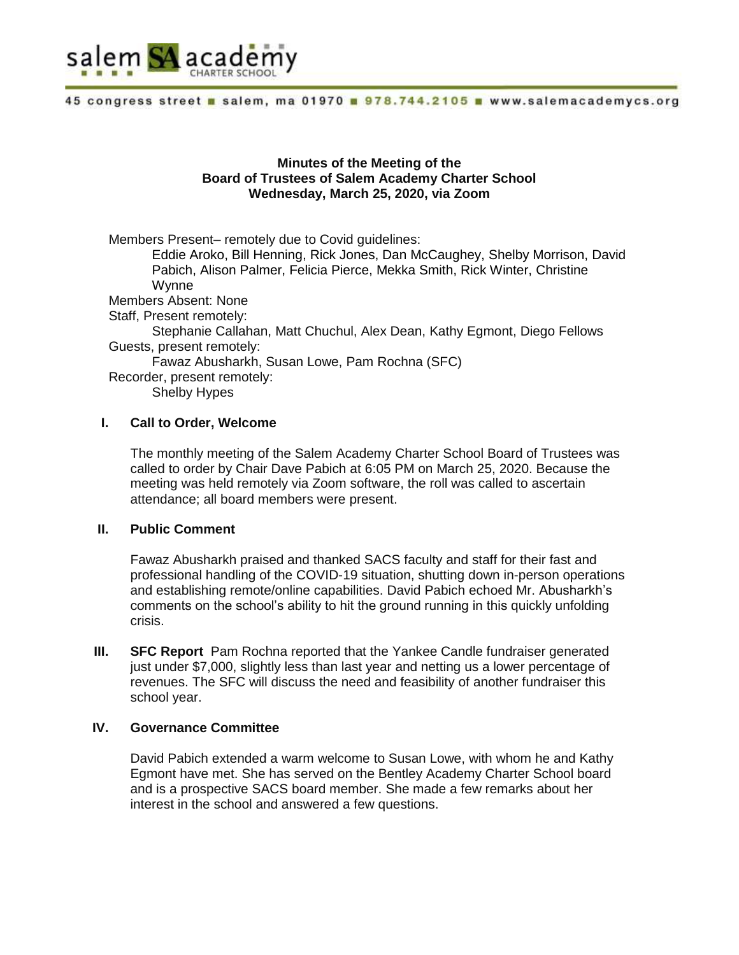

# **Minutes of the Meeting of the Board of Trustees of Salem Academy Charter School Wednesday, March 25, 2020, via Zoom**

Members Present– remotely due to Covid guidelines: Eddie Aroko, Bill Henning, Rick Jones, Dan McCaughey, Shelby Morrison, David Pabich, Alison Palmer, Felicia Pierce, Mekka Smith, Rick Winter, Christine Wynne Members Absent: None Staff, Present remotely: Stephanie Callahan, Matt Chuchul, Alex Dean, Kathy Egmont, Diego Fellows Guests, present remotely: Fawaz Abusharkh, Susan Lowe, Pam Rochna (SFC) Recorder, present remotely: Shelby Hypes

# **I. Call to Order, Welcome**

The monthly meeting of the Salem Academy Charter School Board of Trustees was called to order by Chair Dave Pabich at 6:05 PM on March 25, 2020. Because the meeting was held remotely via Zoom software, the roll was called to ascertain attendance; all board members were present.

#### **II. Public Comment**

Fawaz Abusharkh praised and thanked SACS faculty and staff for their fast and professional handling of the COVID-19 situation, shutting down in-person operations and establishing remote/online capabilities. David Pabich echoed Mr. Abusharkh's comments on the school's ability to hit the ground running in this quickly unfolding crisis.

**III. SFC Report** Pam Rochna reported that the Yankee Candle fundraiser generated just under \$7,000, slightly less than last year and netting us a lower percentage of revenues. The SFC will discuss the need and feasibility of another fundraiser this school year.

#### **IV. Governance Committee**

David Pabich extended a warm welcome to Susan Lowe, with whom he and Kathy Egmont have met. She has served on the Bentley Academy Charter School board and is a prospective SACS board member. She made a few remarks about her interest in the school and answered a few questions.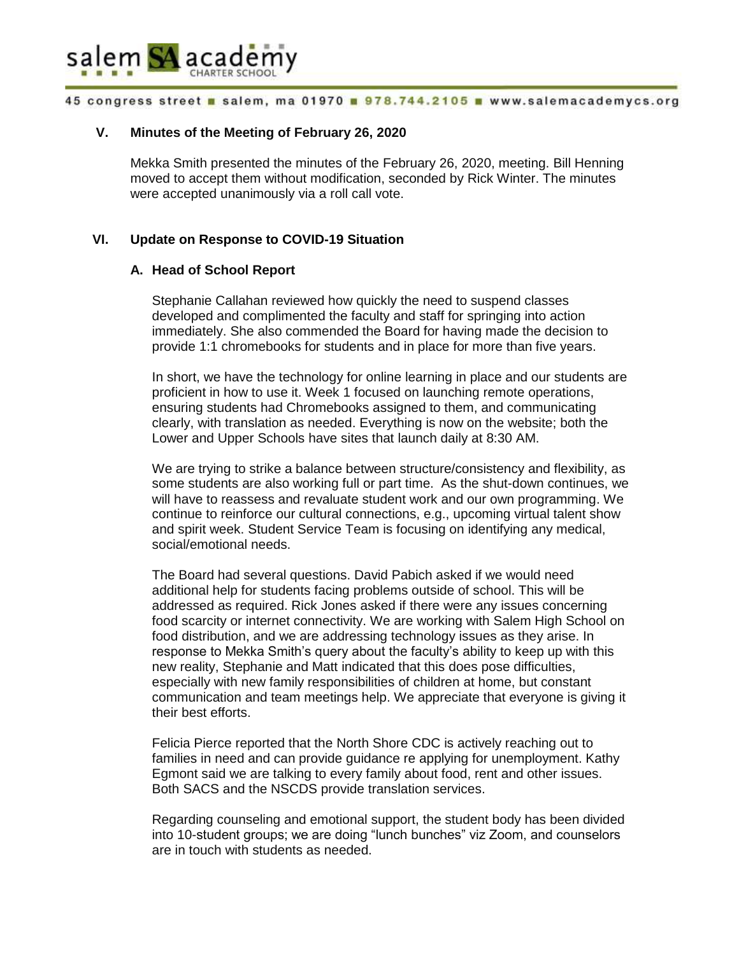

# **V. Minutes of the Meeting of February 26, 2020**

Mekka Smith presented the minutes of the February 26, 2020, meeting. Bill Henning moved to accept them without modification, seconded by Rick Winter. The minutes were accepted unanimously via a roll call vote.

# **VI. Update on Response to COVID-19 Situation**

#### **A. Head of School Report**

Stephanie Callahan reviewed how quickly the need to suspend classes developed and complimented the faculty and staff for springing into action immediately. She also commended the Board for having made the decision to provide 1:1 chromebooks for students and in place for more than five years.

In short, we have the technology for online learning in place and our students are proficient in how to use it. Week 1 focused on launching remote operations, ensuring students had Chromebooks assigned to them, and communicating clearly, with translation as needed. Everything is now on the website; both the Lower and Upper Schools have sites that launch daily at 8:30 AM.

We are trying to strike a balance between structure/consistency and flexibility, as some students are also working full or part time. As the shut-down continues, we will have to reassess and revaluate student work and our own programming. We continue to reinforce our cultural connections, e.g., upcoming virtual talent show and spirit week. Student Service Team is focusing on identifying any medical, social/emotional needs.

The Board had several questions. David Pabich asked if we would need additional help for students facing problems outside of school. This will be addressed as required. Rick Jones asked if there were any issues concerning food scarcity or internet connectivity. We are working with Salem High School on food distribution, and we are addressing technology issues as they arise. In response to Mekka Smith's query about the faculty's ability to keep up with this new reality, Stephanie and Matt indicated that this does pose difficulties, especially with new family responsibilities of children at home, but constant communication and team meetings help. We appreciate that everyone is giving it their best efforts.

Felicia Pierce reported that the North Shore CDC is actively reaching out to families in need and can provide guidance re applying for unemployment. Kathy Egmont said we are talking to every family about food, rent and other issues. Both SACS and the NSCDS provide translation services.

Regarding counseling and emotional support, the student body has been divided into 10-student groups; we are doing "lunch bunches" viz Zoom, and counselors are in touch with students as needed.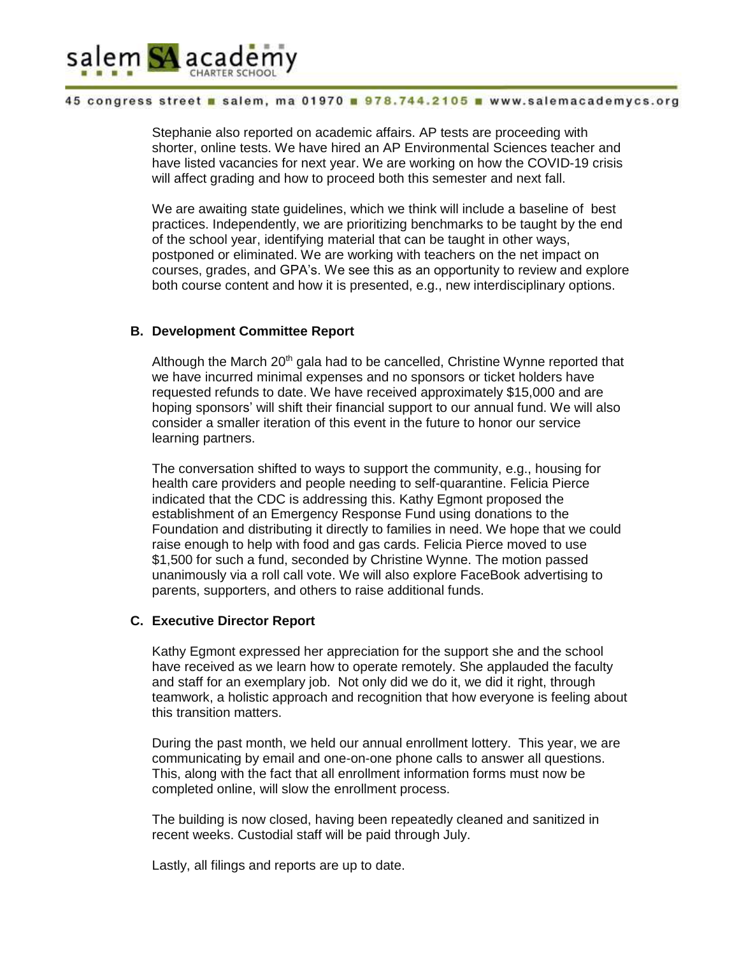

Stephanie also reported on academic affairs. AP tests are proceeding with shorter, online tests. We have hired an AP Environmental Sciences teacher and have listed vacancies for next year. We are working on how the COVID-19 crisis will affect grading and how to proceed both this semester and next fall.

We are awaiting state guidelines, which we think will include a baseline of best practices. Independently, we are prioritizing benchmarks to be taught by the end of the school year, identifying material that can be taught in other ways, postponed or eliminated. We are working with teachers on the net impact on courses, grades, and GPA's. We see this as an opportunity to review and explore both course content and how it is presented, e.g., new interdisciplinary options.

# **B. Development Committee Report**

Although the March  $20<sup>th</sup>$  gala had to be cancelled, Christine Wynne reported that we have incurred minimal expenses and no sponsors or ticket holders have requested refunds to date. We have received approximately \$15,000 and are hoping sponsors' will shift their financial support to our annual fund. We will also consider a smaller iteration of this event in the future to honor our service learning partners.

The conversation shifted to ways to support the community, e.g., housing for health care providers and people needing to self-quarantine. Felicia Pierce indicated that the CDC is addressing this. Kathy Egmont proposed the establishment of an Emergency Response Fund using donations to the Foundation and distributing it directly to families in need. We hope that we could raise enough to help with food and gas cards. Felicia Pierce moved to use \$1,500 for such a fund, seconded by Christine Wynne. The motion passed unanimously via a roll call vote. We will also explore FaceBook advertising to parents, supporters, and others to raise additional funds.

# **C. Executive Director Report**

Kathy Egmont expressed her appreciation for the support she and the school have received as we learn how to operate remotely. She applauded the faculty and staff for an exemplary job. Not only did we do it, we did it right, through teamwork, a holistic approach and recognition that how everyone is feeling about this transition matters.

During the past month, we held our annual enrollment lottery. This year, we are communicating by email and one-on-one phone calls to answer all questions. This, along with the fact that all enrollment information forms must now be completed online, will slow the enrollment process.

The building is now closed, having been repeatedly cleaned and sanitized in recent weeks. Custodial staff will be paid through July.

Lastly, all filings and reports are up to date.